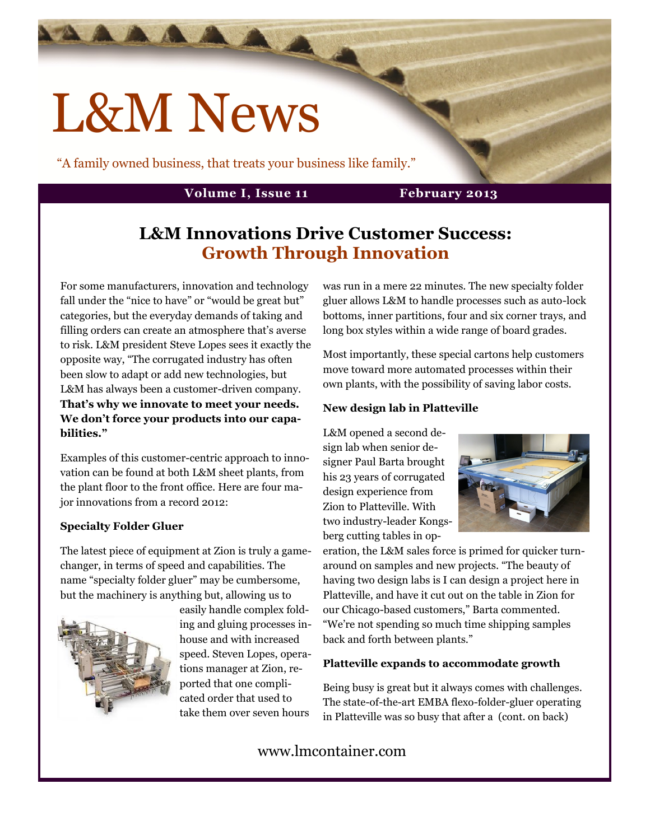# L&M News

"A family owned business, that treats your business like family."

## **Volume I, Issue 11 February 2013**

## **L&M Innovations Drive Customer Success: Growth Through Innovation**

For some manufacturers, innovation and technology fall under the "nice to have" or "would be great but" categories, but the everyday demands of taking and filling orders can create an atmosphere that's averse to risk. L&M president Steve Lopes sees it exactly the opposite way, "The corrugated industry has often been slow to adapt or add new technologies, but L&M has always been a customer-driven company. **That's why we innovate to meet your needs. We don't force your products into our capabilities."**

Examples of this customer-centric approach to innovation can be found at both L&M sheet plants, from the plant floor to the front office. Here are four major innovations from a record 2012:

## **Specialty Folder Gluer**

The latest piece of equipment at Zion is truly a gamechanger, in terms of speed and capabilities. The name "specialty folder gluer" may be cumbersome, but the machinery is anything but, allowing us to



easily handle complex folding and gluing processes inhouse and with increased speed. Steven Lopes, operations manager at Zion, reported that one complicated order that used to take them over seven hours

was run in a mere 22 minutes. The new specialty folder gluer allows L&M to handle processes such as auto-lock bottoms, inner partitions, four and six corner trays, and long box styles within a wide range of board grades.

Most importantly, these special cartons help customers move toward more automated processes within their own plants, with the possibility of saving labor costs.

## **New design lab in Platteville**

L&M opened a second design lab when senior designer Paul Barta brought his 23 years of corrugated design experience from Zion to Platteville. With two industry-leader Kongsberg cutting tables in op-



eration, the L&M sales force is primed for quicker turnaround on samples and new projects. "The beauty of having two design labs is I can design a project here in Platteville, and have it cut out on the table in Zion for our Chicago-based customers," Barta commented. "We're not spending so much time shipping samples back and forth between plants."

## **Platteville expands to accommodate growth**

Being busy is great but it always comes with challenges. The state-of-the-art EMBA flexo-folder-gluer operating in Platteville was so busy that after a (cont. on back)

## www.lmcontainer.com